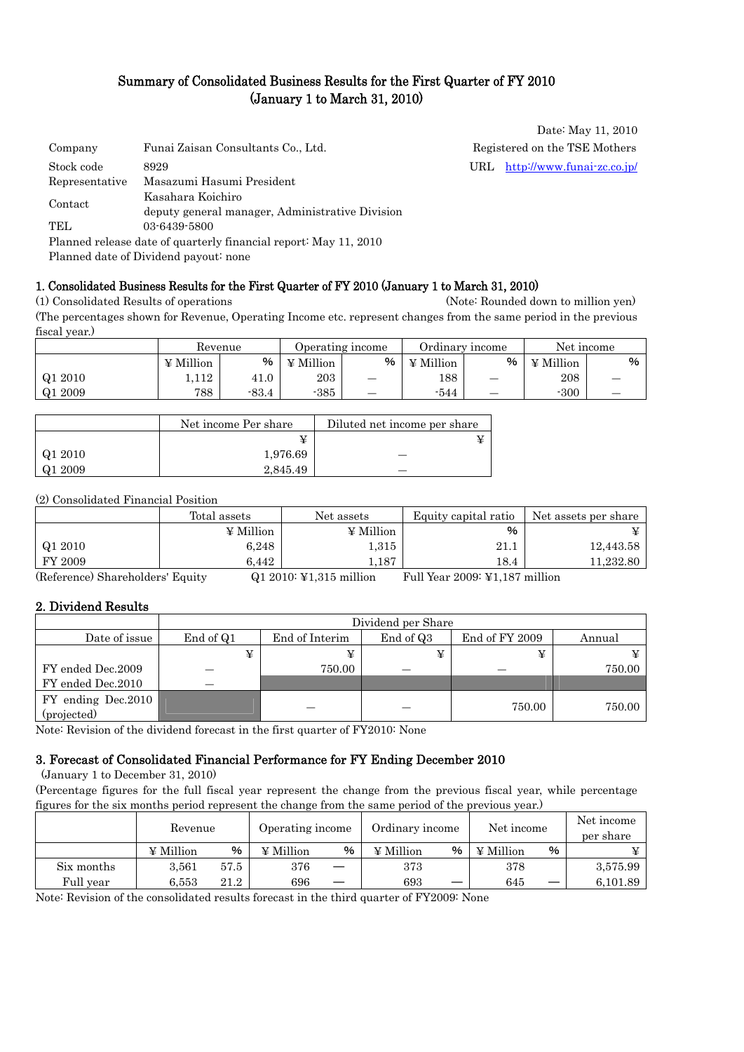### Summary of Consolidated Business Results for the First Quarter of FY 2010 (January 1 to March 31, 2010)

Date: May 11, 2010

| Company        | Funai Zaisan Consultants Co., Ltd.                               | Registered on the TSE Mothers  |
|----------------|------------------------------------------------------------------|--------------------------------|
| Stock code     | 8929                                                             | URL http://www.funai-zc.co.jp/ |
| Representative | Masazumi Hasumi President                                        |                                |
|                | Kasahara Koichiro                                                |                                |
| Contact        | deputy general manager, Administrative Division                  |                                |
| TEL.           | 03-6439-5800                                                     |                                |
|                | Planned release date of quarterly financial report: May 11, 2010 |                                |

Planned date of Dividend payout: none

#### 1. Consolidated Business Results for the First Quarter of FY 2010 (January 1 to March 31, 2010)

(1) Consolidated Results of operations (Note: Rounded down to million yen) (The percentages shown for Revenue, Operating Income etc. represent changes from the same period in the previous fiscal year.)

|         |                | Revenue |           | Operating income | Ordinary income |   | Net income       |   |
|---------|----------------|---------|-----------|------------------|-----------------|---|------------------|---|
|         | $\Psi$ Million | %       | ¥ Million | %                | $\Psi$ Million  | % | $\angle$ Million | % |
| Q1 2010 | .,112          | 41.0    | 203       | —                | 188             |   | 208              |   |
| Q1 2009 | 788            | $-83.4$ | $-385$    |                  | $-544$          |   | $-300$           |   |

|         | Net income Per share | Diluted net income per share |
|---------|----------------------|------------------------------|
|         | ¥                    |                              |
| Q1 2010 | 1,976.69             |                              |
| Q1 2009 | 2.845.49             |                              |

(2) Consolidated Financial Position

|         | Total assets     | Net assets       | Equity capital ratio | Net assets per share |
|---------|------------------|------------------|----------------------|----------------------|
|         | $\angle$ Million | $\angle$ Million | %                    |                      |
| Q1 2010 | 6,248            | 1,315            | 21.1                 | 12,443.58            |
| FY 2009 | 6.442            | 1.187            | 18.4                 | 11,232.80            |

(Reference) Shareholders' Equity Q1 2010: ¥1,315 million Full Year 2009: ¥1,187 million

#### 2. Dividend Results

|                    |           |                | Dividend per Share |                |        |
|--------------------|-----------|----------------|--------------------|----------------|--------|
| Date of issue      | End of Q1 | End of Interim | End of Q3          | End of FY 2009 | Annual |
|                    | ¥         |                |                    | ¥              |        |
| FY ended Dec.2009  |           | 750.00         |                    |                | 750.00 |
| FY ended Dec.2010  |           |                |                    |                |        |
| FY ending Dec.2010 |           |                |                    | 750.00         | 750.00 |
| (projected)        |           |                |                    |                |        |

Note: Revision of the dividend forecast in the first quarter of FY2010: None

#### 3. Forecast of Consolidated Financial Performance for FY Ending December 2010

(January 1 to December 31, 2010)

(Percentage figures for the full fiscal year represent the change from the previous fiscal year, while percentage figures for the six months period represent the change from the same period of the previous year.)

|            | Revenue          |      | Operating income |   | Ordinary income |   | Net income |   | Net income<br>per share |
|------------|------------------|------|------------------|---|-----------------|---|------------|---|-------------------------|
|            | $\angle$ Million | %    | $\angle$ Million | % | ¥ Million       | % | ¥ Million  | % |                         |
| Six months | 3.561            | 57.5 | 376              |   | 373             |   | 378        |   | 3,575.99                |
| Full year  | 6.553            | 21.2 | 696              |   | 693             | — | 645        |   | 6,101.89                |

Note: Revision of the consolidated results forecast in the third quarter of FY2009: None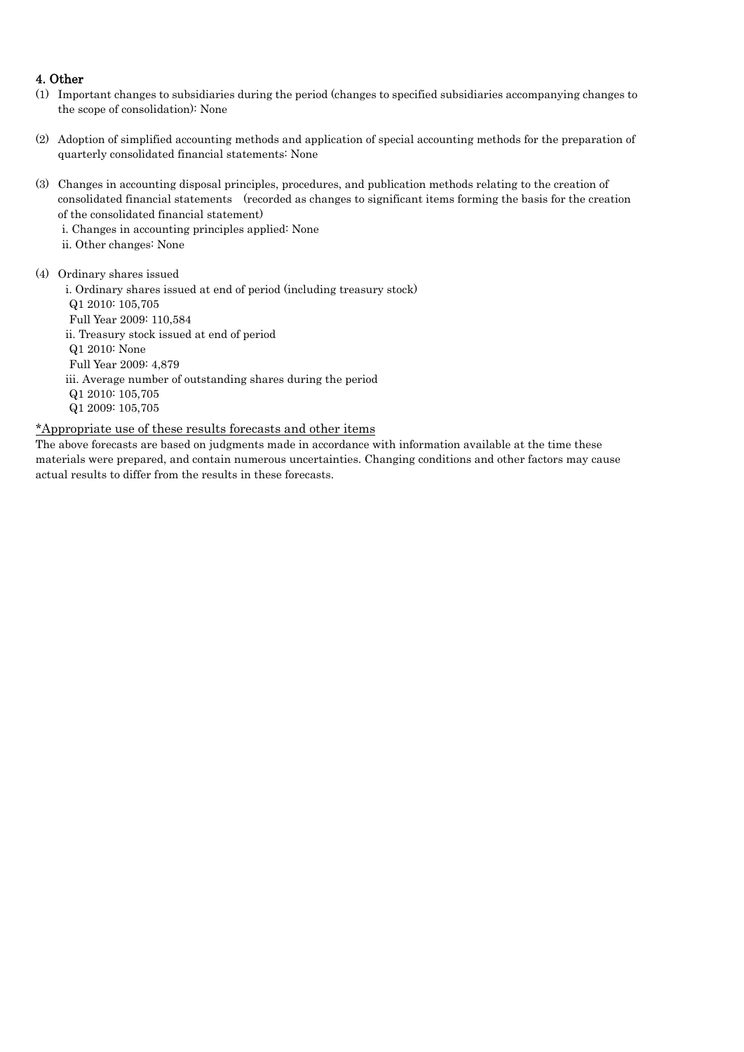#### 4. Other

- (1) Important changes to subsidiaries during the period (changes to specified subsidiaries accompanying changes to the scope of consolidation): None
- (2) Adoption of simplified accounting methods and application of special accounting methods for the preparation of quarterly consolidated financial statements: None
- (3) Changes in accounting disposal principles, procedures, and publication methods relating to the creation of consolidated financial statements (recorded as changes to significant items forming the basis for the creation of the consolidated financial statement)
	- i. Changes in accounting principles applied: None
	- ii. Other changes: None
- (4) Ordinary shares issued

i. Ordinary shares issued at end of period (including treasury stock) Q1 2010: 105,705 Full Year 2009: 110,584 ii. Treasury stock issued at end of period Q1 2010: None Full Year 2009: 4,879 iii. Average number of outstanding shares during the period Q1 2010: 105,705 Q1 2009: 105,705

#### \*Appropriate use of these results forecasts and other items

The above forecasts are based on judgments made in accordance with information available at the time these materials were prepared, and contain numerous uncertainties. Changing conditions and other factors may cause actual results to differ from the results in these forecasts.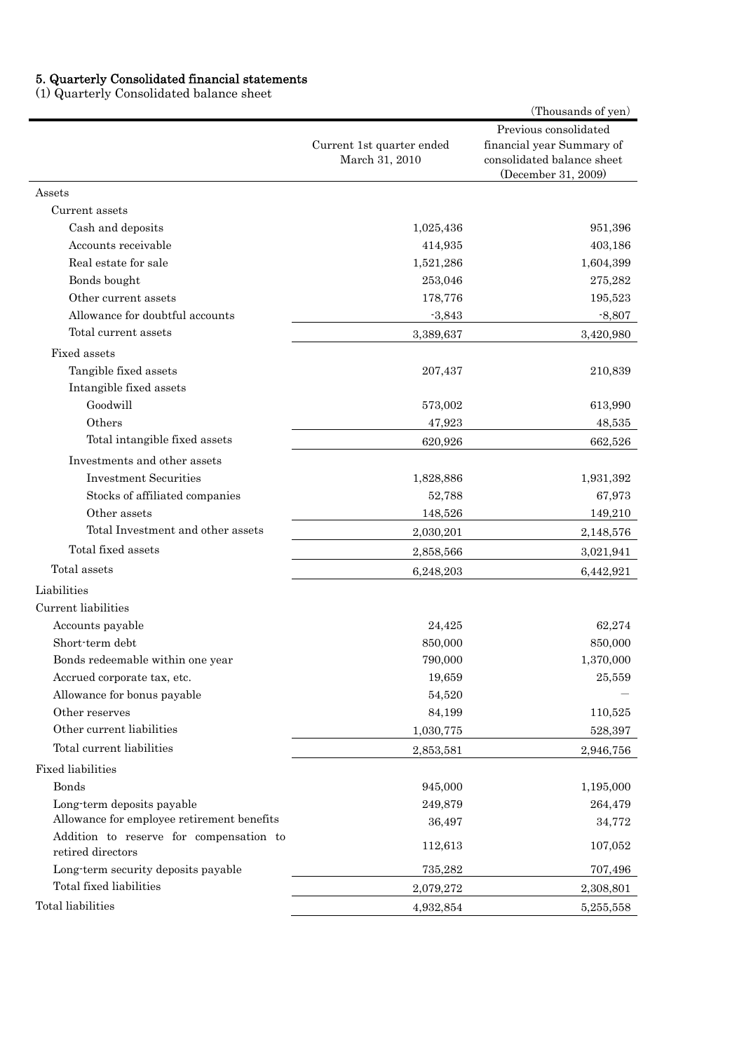#### 5. Quarterly Consolidated financial statements

(1) Quarterly Consolidated balance sheet

|                                                              |                                             | (Thousands of yen)                                                                                      |
|--------------------------------------------------------------|---------------------------------------------|---------------------------------------------------------------------------------------------------------|
|                                                              | Current 1st quarter ended<br>March 31, 2010 | Previous consolidated<br>financial year Summary of<br>consolidated balance sheet<br>(December 31, 2009) |
| Assets                                                       |                                             |                                                                                                         |
| Current assets                                               |                                             |                                                                                                         |
| Cash and deposits                                            | 1,025,436                                   | 951,396                                                                                                 |
| Accounts receivable                                          | 414,935                                     | 403,186                                                                                                 |
| Real estate for sale                                         | 1,521,286                                   | 1,604,399                                                                                               |
| Bonds bought                                                 | 253,046                                     | 275,282                                                                                                 |
| Other current assets                                         | 178,776                                     | 195,523                                                                                                 |
| Allowance for doubtful accounts                              | $-3,843$                                    | $-8,807$                                                                                                |
| Total current assets                                         | 3,389,637                                   | 3,420,980                                                                                               |
| Fixed assets                                                 |                                             |                                                                                                         |
| Tangible fixed assets                                        | 207,437                                     | 210,839                                                                                                 |
| Intangible fixed assets                                      |                                             |                                                                                                         |
| Goodwill                                                     | 573,002                                     | 613,990                                                                                                 |
| Others                                                       | 47,923                                      | 48,535                                                                                                  |
| Total intangible fixed assets                                | 620,926                                     | 662,526                                                                                                 |
| Investments and other assets                                 |                                             |                                                                                                         |
| <b>Investment Securities</b>                                 | 1,828,886                                   | 1,931,392                                                                                               |
| Stocks of affiliated companies                               | 52,788                                      | 67,973                                                                                                  |
| Other assets                                                 | 148,526                                     | 149,210                                                                                                 |
| Total Investment and other assets                            | 2,030,201                                   | 2,148,576                                                                                               |
| Total fixed assets                                           | 2,858,566                                   | 3,021,941                                                                                               |
| Total assets                                                 | 6,248,203                                   | 6,442,921                                                                                               |
| Liabilities                                                  |                                             |                                                                                                         |
| Current liabilities                                          |                                             |                                                                                                         |
| Accounts payable                                             | 24,425                                      | 62,274                                                                                                  |
| Short-term debt                                              | 850,000                                     | 850,000                                                                                                 |
| Bonds redeemable within one year                             | 790,000                                     | $1,\!370,\!000$                                                                                         |
| Accrued corporate tax, etc.                                  | 19,659                                      | 25,559                                                                                                  |
| Allowance for bonus payable                                  | 54,520                                      |                                                                                                         |
| Other reserves                                               | 84,199                                      | 110,525                                                                                                 |
| Other current liabilities                                    | 1,030,775                                   | 528,397                                                                                                 |
| Total current liabilities                                    | 2,853,581                                   | 2,946,756                                                                                               |
| <b>Fixed liabilities</b>                                     |                                             |                                                                                                         |
| Bonds                                                        | 945,000                                     | 1,195,000                                                                                               |
| Long-term deposits payable                                   | 249,879                                     | 264,479                                                                                                 |
| Allowance for employee retirement benefits                   | 36,497                                      | 34,772                                                                                                  |
| Addition to reserve for compensation to<br>retired directors | 112,613                                     | 107,052                                                                                                 |
| Long-term security deposits payable                          | 735,282                                     | 707,496                                                                                                 |
| Total fixed liabilities                                      | 2,079,272                                   | 2,308,801                                                                                               |
| Total liabilities                                            | 4,932,854                                   | 5,255,558                                                                                               |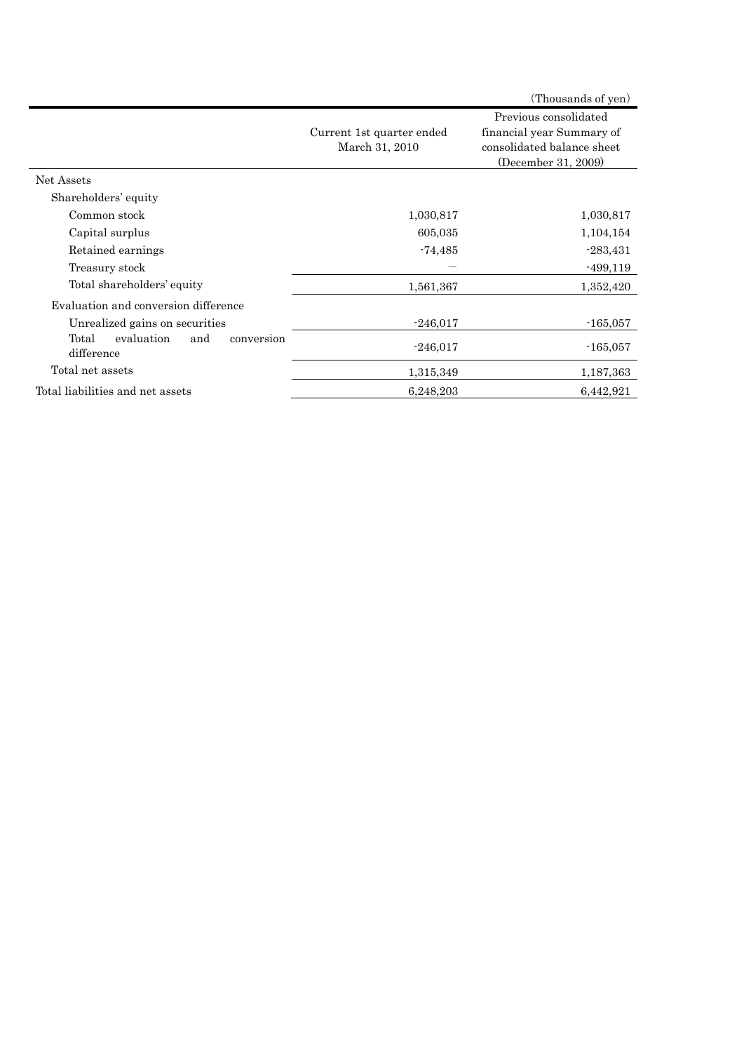|                                                        |                                             | (Thousands of yen)                                                                                      |
|--------------------------------------------------------|---------------------------------------------|---------------------------------------------------------------------------------------------------------|
|                                                        | Current 1st quarter ended<br>March 31, 2010 | Previous consolidated<br>financial year Summary of<br>consolidated balance sheet<br>(December 31, 2009) |
| Net Assets                                             |                                             |                                                                                                         |
| Shareholders' equity                                   |                                             |                                                                                                         |
| Common stock                                           | 1,030,817                                   | 1,030,817                                                                                               |
| Capital surplus                                        | 605,035                                     | 1,104,154                                                                                               |
| Retained earnings                                      | $-74,485$                                   | $-283,431$                                                                                              |
| Treasury stock                                         |                                             | $-499,119$                                                                                              |
| Total shareholders' equity                             | 1,561,367                                   | 1,352,420                                                                                               |
| Evaluation and conversion difference                   |                                             |                                                                                                         |
| Unrealized gains on securities                         | $-246,017$                                  | $-165,057$                                                                                              |
| Total<br>evaluation<br>and<br>conversion<br>difference | $-246,017$                                  | $-165,057$                                                                                              |
| Total net assets                                       | 1,315,349                                   | 1,187,363                                                                                               |
| Total liabilities and net assets                       | 6,248,203                                   | 6,442,921                                                                                               |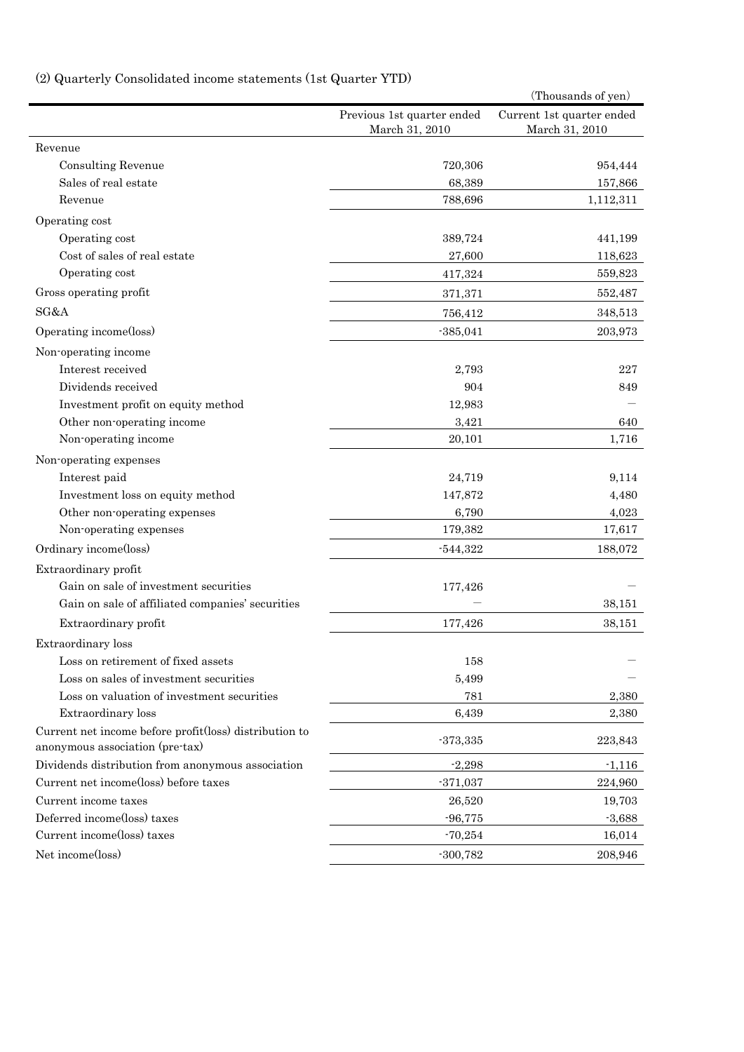# (2) Quarterly Consolidated income statements (1st Quarter YTD)

|                                                        |                                              | (Thousands of yen)                          |
|--------------------------------------------------------|----------------------------------------------|---------------------------------------------|
|                                                        | Previous 1st quarter ended<br>March 31, 2010 | Current 1st quarter ended<br>March 31, 2010 |
| Revenue                                                |                                              |                                             |
| <b>Consulting Revenue</b>                              | 720,306                                      | 954,444                                     |
| Sales of real estate                                   | 68,389                                       | 157,866                                     |
| Revenue                                                | 788,696                                      | 1,112,311                                   |
| Operating cost                                         |                                              |                                             |
| Operating cost                                         | 389,724                                      | 441,199                                     |
| Cost of sales of real estate                           | 27,600                                       | 118,623                                     |
| Operating cost                                         | 417,324                                      | 559,823                                     |
| Gross operating profit                                 | 371,371                                      | 552,487                                     |
| SG&A                                                   | 756,412                                      | 348,513                                     |
| Operating income(loss)                                 | $-385,041$                                   | 203,973                                     |
| Non-operating income                                   |                                              |                                             |
| Interest received                                      | 2,793                                        | 227                                         |
| Dividends received                                     | 904                                          | 849                                         |
| Investment profit on equity method                     | 12,983                                       |                                             |
| Other non-operating income                             | 3,421                                        | 640                                         |
| Non-operating income                                   | 20,101                                       | 1,716                                       |
| Non-operating expenses                                 |                                              |                                             |
| Interest paid                                          | 24,719                                       | 9,114                                       |
| Investment loss on equity method                       | 147,872                                      | 4,480                                       |
| Other non-operating expenses                           | 6,790                                        | 4,023                                       |
| Non-operating expenses                                 | 179,382                                      | 17,617                                      |
| Ordinary income(loss)                                  | $-544,322$                                   | 188,072                                     |
| Extraordinary profit                                   |                                              |                                             |
| Gain on sale of investment securities                  | 177,426                                      |                                             |
| Gain on sale of affiliated companies' securities       |                                              | 38,151                                      |
| Extraordinary profit                                   | 177,426                                      | 38,151                                      |
| Extraordinary loss                                     |                                              |                                             |
| Loss on retirement of fixed assets                     | 158                                          |                                             |
| Loss on sales of investment securities                 | 5,499                                        |                                             |
| Loss on valuation of investment securities             | 781                                          | 2,380                                       |
| Extraordinary loss                                     | 6,439                                        | 2,380                                       |
| Current net income before profit(loss) distribution to |                                              |                                             |
| anonymous association (pre-tax)                        | $-373,335$                                   | 223,843                                     |
| Dividends distribution from anonymous association      | $-2,298$                                     | $-1,116$                                    |
| Current net income(loss) before taxes                  | $-371,037$                                   | 224,960                                     |
| Current income taxes                                   | 26,520                                       | 19,703                                      |
| Deferred income(loss) taxes                            | $-96,775$                                    | $-3,688$                                    |
| Current income(loss) taxes                             | $-70,254$                                    | 16,014                                      |
| Net income(loss)                                       | $-300,782$                                   | 208,946                                     |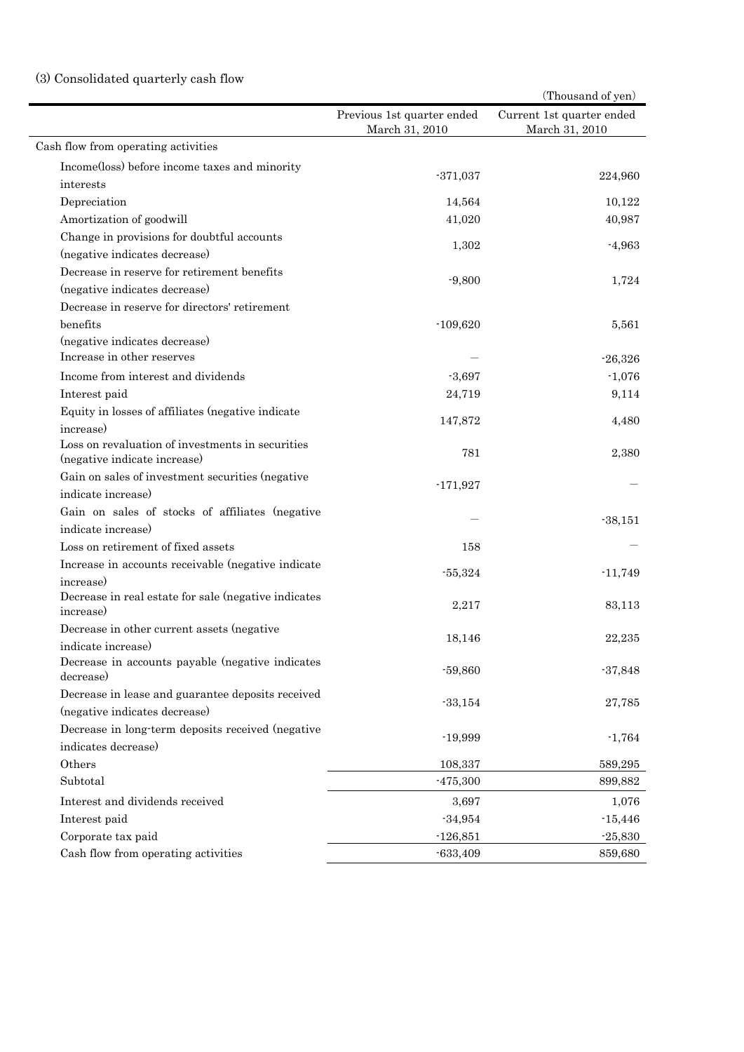## (3) Consolidated quarterly cash flow

|                                                                                  |                                              | (Thousand of yen)                           |
|----------------------------------------------------------------------------------|----------------------------------------------|---------------------------------------------|
|                                                                                  | Previous 1st quarter ended<br>March 31, 2010 | Current 1st quarter ended<br>March 31, 2010 |
| Cash flow from operating activities                                              |                                              |                                             |
| Income(loss) before income taxes and minority                                    |                                              |                                             |
| interests                                                                        | $-371,037$                                   | 224,960                                     |
| Depreciation                                                                     | 14,564                                       | 10,122                                      |
| Amortization of goodwill                                                         | 41,020                                       | 40,987                                      |
| Change in provisions for doubtful accounts                                       |                                              |                                             |
| (negative indicates decrease)                                                    | 1,302                                        | $-4,963$                                    |
| Decrease in reserve for retirement benefits                                      |                                              |                                             |
| (negative indicates decrease)                                                    | $-9,800$                                     | 1,724                                       |
| Decrease in reserve for directors' retirement                                    |                                              |                                             |
| benefits                                                                         | $-109,620$                                   | 5,561                                       |
| (negative indicates decrease)                                                    |                                              |                                             |
| Increase in other reserves                                                       |                                              | $-26,326$                                   |
| Income from interest and dividends                                               | $-3,697$                                     | $-1,076$                                    |
| Interest paid                                                                    | 24,719                                       | 9,114                                       |
| Equity in losses of affiliates (negative indicate<br>increase)                   | 147,872                                      | 4,480                                       |
| Loss on revaluation of investments in securities<br>(negative indicate increase) | 781                                          | 2,380                                       |
| Gain on sales of investment securities (negative                                 |                                              |                                             |
| indicate increase)                                                               | $-171,927$                                   |                                             |
| Gain on sales of stocks of affiliates (negative                                  |                                              |                                             |
| indicate increase)                                                               |                                              | $-38,151$                                   |
| Loss on retirement of fixed assets                                               | 158                                          |                                             |
| Increase in accounts receivable (negative indicate                               |                                              |                                             |
| increase)                                                                        | $-55,324$                                    | $-11,749$                                   |
| Decrease in real estate for sale (negative indicates<br>increase)                | 2,217                                        | 83,113                                      |
| Decrease in other current assets (negative                                       |                                              | 22,235                                      |
| indicate increase)                                                               | 18,146                                       |                                             |
| Decrease in accounts payable (negative indicates<br>decrease)                    | $-59,860$                                    | $-37,848$                                   |
| Decrease in lease and guarantee deposits received                                | $-33,154$                                    | 27,785                                      |
| (negative indicates decrease)                                                    |                                              |                                             |
| Decrease in long-term deposits received (negative                                |                                              |                                             |
| indicates decrease)                                                              | $-19,999$                                    | $-1,764$                                    |
| Others                                                                           | 108,337                                      | 589,295                                     |
| Subtotal                                                                         | $-475,300$                                   | 899,882                                     |
| Interest and dividends received                                                  | 3,697                                        | 1,076                                       |
| Interest paid                                                                    | $-34,954$                                    | $-15,446$                                   |
| Corporate tax paid                                                               | $-126,851$                                   | $-25,830$                                   |
| Cash flow from operating activities                                              | $-633,409$                                   | 859,680                                     |